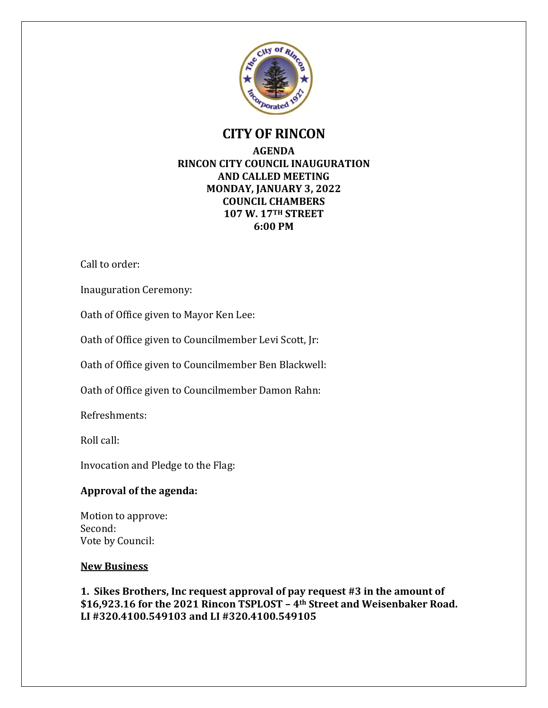

# **CITY OF RINCON**

### **AGENDA RINCON CITY COUNCIL INAUGURATION AND CALLED MEETING MONDAY, JANUARY 3, 2022 COUNCIL CHAMBERS 107 W. 17TH STREET 6:00 PM**

Call to order:

Inauguration Ceremony:

Oath of Office given to Mayor Ken Lee:

Oath of Office given to Councilmember Levi Scott, Jr:

Oath of Office given to Councilmember Ben Blackwell:

Oath of Office given to Councilmember Damon Rahn:

Refreshments:

Roll call:

Invocation and Pledge to the Flag:

#### **Approval of the agenda:**

Motion to approve: Second: Vote by Council:

#### **New Business**

**1. Sikes Brothers, Inc request approval of pay request #3 in the amount of \$16,923.16 for the 2021 Rincon TSPLOST – 4th Street and Weisenbaker Road. LI #320.4100.549103 and LI #320.4100.549105**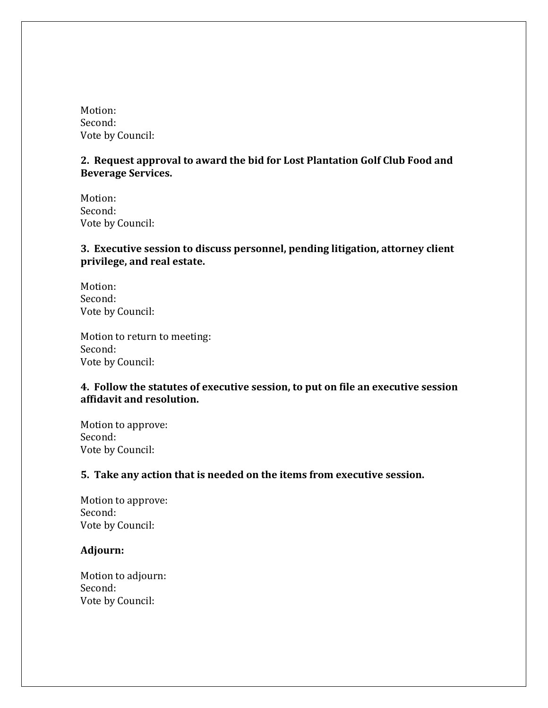Motion: Second: Vote by Council:

## **2. Request approval to award the bid for Lost Plantation Golf Club Food and Beverage Services.**

Motion: Second: Vote by Council:

## **3. Executive session to discuss personnel, pending litigation, attorney client privilege, and real estate.**

Motion: Second: Vote by Council:

Motion to return to meeting: Second: Vote by Council:

#### **4. Follow the statutes of executive session, to put on file an executive session affidavit and resolution.**

Motion to approve: Second: Vote by Council:

#### **5. Take any action that is needed on the items from executive session.**

Motion to approve: Second: Vote by Council:

#### **Adjourn:**

Motion to adjourn: Second: Vote by Council: